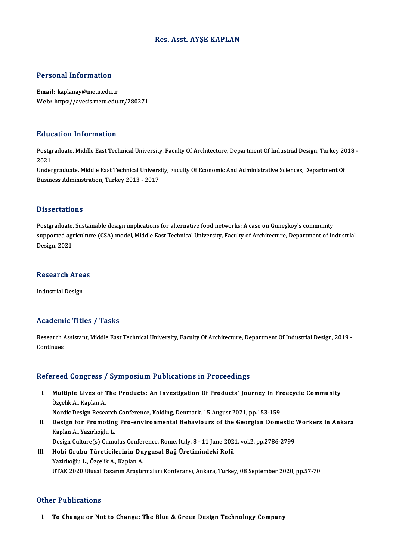## Res. Asst. AYŞE KAPLAN

## Personal Information

Email: kaplanay@metu.edu.tr Web: https://avesis.metu.edu.tr/280271

## Education Information

**Education Information**<br>Postgraduate, Middle East Technical University, Faculty Of Architecture, Department Of Industrial Design, Turkey 2018 -<br>2021 Pata<br>Postgi<br>2021<br>Under Postgraduate, Middle East Technical University, Faculty Of Architecture, Department Of Industrial Design, Turkey 20<br>2021<br>Undergraduate, Middle East Technical University, Faculty Of Economic And Administrative Sciences, Dep

2021<br>Undergraduate, Middle East Technical Univers<br>Business Administration, Turkey 2013 - 2017 Business Administration, Turkey 2013 - 2017<br>Dissertations

Postgraduate, Sustainable design implications for alternative food networks: A case on Güneşköy's community supported agriculture<br>Postgraduate, Sustainable design implications for alternative food networks: A case on Güneşköy's community<br>Design 2021 Postgraduate,<br>supported agı<br>Design, 2021

## besign, 2021<br>Research Areas R<mark>esearch Are</mark>a<br>Industrial Design

# Industrial Design<br>Academic Titles / Tasks

Academic Titles / Tasks<br>Research Assistant, Middle East Technical University, Faculty Of Architecture, Department Of Industrial Design, 2019 -<br>Continues Research Andrews<br>Continues

# Continues<br>Refereed Congress / Symposium Publications in Proceedings

efereed Congress / Symposium Publications in Proceedings<br>I. Multiple Lives of The Products: An Investigation Of Products' Journey in Freecycle Community<br>Örselik A. Kaplan A Multiple Lives of Text<br>Özçelik A., Kaplan A.<br>Nordis Dosian Bosse Multiple Lives of The Products: An Investigation Of Products' Journey in Fr<br>Özçelik A., Kaplan A.<br>Nordic Design Research Conference, Kolding, Denmark, 15 August 2021, pp.153-159<br>Design for Promoting Pro environmental Behav

Özçelik A., Kaplan A.<br>Nordic Design Research Conference, Kolding, Denmark, 15 August 2021, pp.153-159<br>II. Design for Promoting Pro-environmental Behaviours of the Georgian Domestic Workers in Ankara<br>Kaplan A. Varirkeğl Nordic Design Research Conference, Kolding, Denmark, 15 August 2021, pp.153-159<br>Design for Promoting Pro-environmental Behaviours of the Georgian Domestic<br>Kaplan A., Yazirlıoğlu L.<br>Design Culture(s) Cumulus Conference, Rom Design for Promoting Pro-environmental Behaviours of the Georgian Domestic '<br>Kaplan A., Yazirlıoğlu L.<br>Design Culture(s) Cumulus Conference, Rome, Italy, 8 - 11 June 2021, vol.2, pp.2786-2799<br>Hebi Crubu Türetisilerinin Duy

III. Hobi Grubu Türeticilerinin Duygusal Bağ Üretimindeki Rolü Yazirlıoğlu L.,ÖzçelikA.,KaplanA. UTAK 2020 Ulusal Tasarım Araştırmaları Konferansı, Ankara, Turkey, 08 September 2020, pp.57-70

### Other Publications

I. To Change or Not to Change: The Blue & Green Design Technology Company